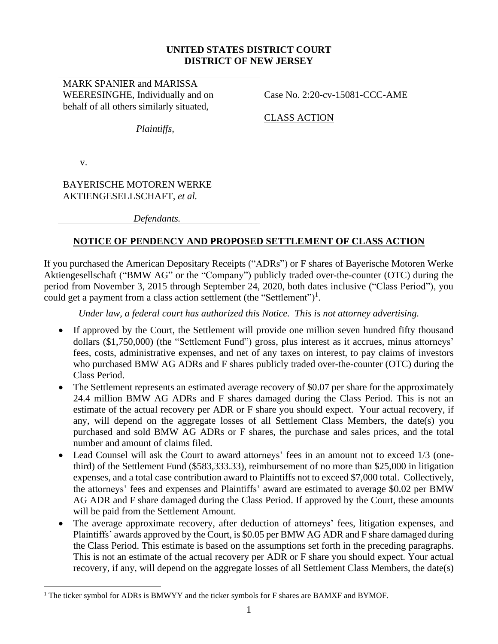### **UNITED STATES DISTRICT COURT DISTRICT OF NEW JERSEY**

MARK SPANIER and MARISSA WEERESINGHE, Individually and on behalf of all others similarly situated,

Case No. 2:20-cv-15081-CCC-AME

CLASS ACTION

v.

BAYERISCHE MOTOREN WERKE AKTIENGESELLSCHAFT, *et al.*

*Defendants.*

*Plaintiffs,*

# **NOTICE OF PENDENCY AND PROPOSED SETTLEMENT OF CLASS ACTION**

If you purchased the American Depositary Receipts ("ADRs") or F shares of Bayerische Motoren Werke Aktiengesellschaft ("BMW AG" or the "Company") publicly traded over-the-counter (OTC) during the period from November 3, 2015 through September 24, 2020, both dates inclusive ("Class Period"), you could get a payment from a class action settlement (the "Settlement")<sup>1</sup>.

*Under law, a federal court has authorized this Notice. This is not attorney advertising.*

- If approved by the Court, the Settlement will provide one million seven hundred fifty thousand dollars (\$1,750,000) (the "Settlement Fund") gross, plus interest as it accrues, minus attorneys' fees, costs, administrative expenses, and net of any taxes on interest, to pay claims of investors who purchased BMW AG ADRs and F shares publicly traded over-the-counter (OTC) during the Class Period.
- The Settlement represents an estimated average recovery of \$0.07 per share for the approximately 24.4 million BMW AG ADRs and F shares damaged during the Class Period. This is not an estimate of the actual recovery per ADR or F share you should expect. Your actual recovery, if any, will depend on the aggregate losses of all Settlement Class Members, the date(s) you purchased and sold BMW AG ADRs or F shares, the purchase and sales prices, and the total number and amount of claims filed.
- Lead Counsel will ask the Court to award attorneys' fees in an amount not to exceed 1/3 (onethird) of the Settlement Fund (\$583,333.33), reimbursement of no more than \$25,000 in litigation expenses, and a total case contribution award to Plaintiffs not to exceed \$7,000 total. Collectively, the attorneys' fees and expenses and Plaintiffs' award are estimated to average \$0.02 per BMW AG ADR and F share damaged during the Class Period. If approved by the Court, these amounts will be paid from the Settlement Amount.
- The average approximate recovery, after deduction of attorneys' fees, litigation expenses, and Plaintiffs' awards approved by the Court, is \$0.05 per BMW AG ADR and F share damaged during the Class Period. This estimate is based on the assumptions set forth in the preceding paragraphs. This is not an estimate of the actual recovery per ADR or F share you should expect. Your actual recovery, if any, will depend on the aggregate losses of all Settlement Class Members, the date(s)

<sup>&</sup>lt;sup>1</sup> The ticker symbol for ADRs is BMWYY and the ticker symbols for F shares are BAMXF and BYMOF.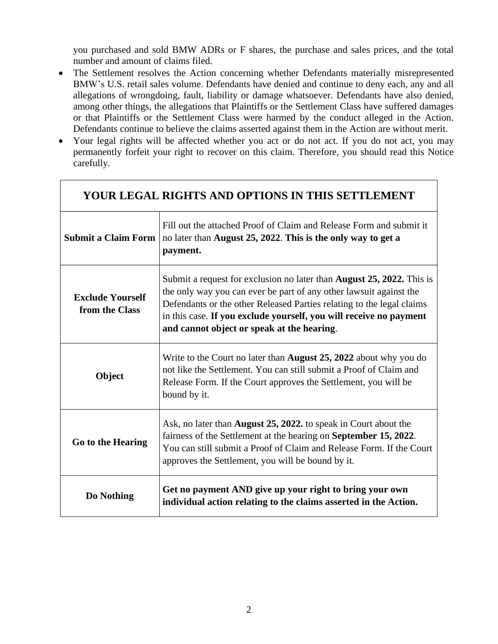you purchased and sold BMW ADRs or F shares, the purchase and sales prices, and the total number and amount of claims filed.

- The Settlement resolves the Action concerning whether Defendants materially misrepresented BMW's U.S. retail sales volume. Defendants have denied and continue to deny each, any and all allegations of wrongdoing, fault, liability or damage whatsoever. Defendants have also denied, among other things, the allegations that Plaintiffs or the Settlement Class have suffered damages or that Plaintiffs or the Settlement Class were harmed by the conduct alleged in the Action. Defendants continue to believe the claims asserted against them in the Action are without merit.
- Your legal rights will be affected whether you act or do not act. If you do not act, you may permanently forfeit your right to recover on this claim. Therefore, you should read this Notice carefully.

| YOUR LEGAL RIGHTS AND OPTIONS IN THIS SETTLEMENT |                                                                                                                                                                                                                                                                                                                                                 |  |  |  |  |  |  |
|--------------------------------------------------|-------------------------------------------------------------------------------------------------------------------------------------------------------------------------------------------------------------------------------------------------------------------------------------------------------------------------------------------------|--|--|--|--|--|--|
|                                                  | Fill out the attached Proof of Claim and Release Form and submit it<br>Submit a Claim Form   no later than August 25, 2022. This is the only way to get a<br>payment.                                                                                                                                                                           |  |  |  |  |  |  |
| <b>Exclude Yourself</b><br>from the Class        | Submit a request for exclusion no later than <b>August 25, 2022.</b> This is<br>the only way you can ever be part of any other lawsuit against the<br>Defendants or the other Released Parties relating to the legal claims<br>in this case. If you exclude yourself, you will receive no payment<br>and cannot object or speak at the hearing. |  |  |  |  |  |  |
| Object                                           | Write to the Court no later than <b>August 25, 2022</b> about why you do<br>not like the Settlement. You can still submit a Proof of Claim and<br>Release Form. If the Court approves the Settlement, you will be<br>bound by it.                                                                                                               |  |  |  |  |  |  |
| Go to the Hearing                                | Ask, no later than <b>August 25, 2022.</b> to speak in Court about the<br>fairness of the Settlement at the hearing on <b>September 15, 2022</b> .<br>You can still submit a Proof of Claim and Release Form. If the Court<br>approves the Settlement, you will be bound by it.                                                                 |  |  |  |  |  |  |
| Do Nothing                                       | Get no payment AND give up your right to bring your own<br>individual action relating to the claims asserted in the Action.                                                                                                                                                                                                                     |  |  |  |  |  |  |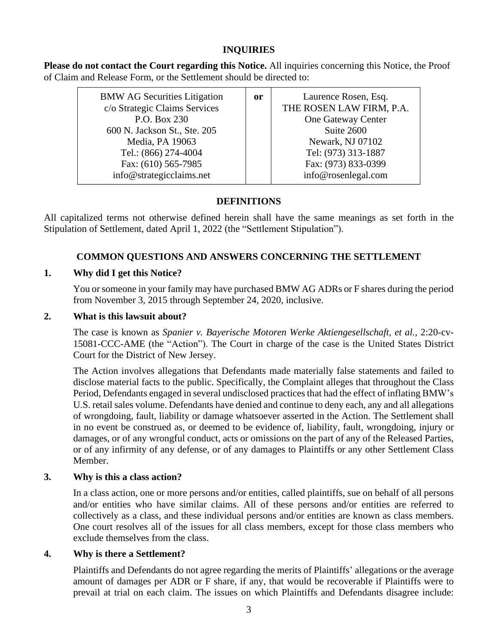# **INQUIRIES**

**Please do not contact the Court regarding this Notice.** All inquiries concerning this Notice, the Proof of Claim and Release Form, or the Settlement should be directed to:

| <b>BMW AG Securities Litigation</b> | <sub>or</sub> | Laurence Rosen, Esq.     |
|-------------------------------------|---------------|--------------------------|
| c/o Strategic Claims Services       |               | THE ROSEN LAW FIRM, P.A. |
| P.O. Box 230                        |               | One Gateway Center       |
| 600 N. Jackson St., Ste. 205        |               | Suite 2600               |
| Media, PA 19063                     |               | Newark, NJ 07102         |
| Tel.: (866) 274-4004                |               | Tel: (973) 313-1887      |
| Fax: (610) 565-7985                 |               | Fax: (973) 833-0399      |
| info@strategicclaims.net            |               | info@rosenlegal.com      |

# **DEFINITIONS**

All capitalized terms not otherwise defined herein shall have the same meanings as set forth in the Stipulation of Settlement, dated April 1, 2022 (the "Settlement Stipulation").

# **COMMON QUESTIONS AND ANSWERS CONCERNING THE SETTLEMENT**

# **1. Why did I get this Notice?**

You orsomeone in your family may have purchased BMW AG ADRs or F shares during the period from November 3, 2015 through September 24, 2020, inclusive.

# **2. What is this lawsuit about?**

The case is known as *Spanier v. Bayerische Motoren Werke Aktiengesellschaft, et al.,* 2:20-cv-15081-CCC-AME (the "Action"). The Court in charge of the case is the United States District Court for the District of New Jersey.

The Action involves allegations that Defendants made materially false statements and failed to disclose material facts to the public. Specifically, the Complaint alleges that throughout the Class Period, Defendants engaged in several undisclosed practices that had the effect of inflating BMW's U.S. retail sales volume. Defendants have denied and continue to deny each, any and all allegations of wrongdoing, fault, liability or damage whatsoever asserted in the Action. The Settlement shall in no event be construed as, or deemed to be evidence of, liability, fault, wrongdoing, injury or damages, or of any wrongful conduct, acts or omissions on the part of any of the Released Parties, or of any infirmity of any defense, or of any damages to Plaintiffs or any other Settlement Class Member.

# **3. Why is this a class action?**

In a class action, one or more persons and/or entities, called plaintiffs, sue on behalf of all persons and/or entities who have similar claims. All of these persons and/or entities are referred to collectively as a class, and these individual persons and/or entities are known as class members. One court resolves all of the issues for all class members, except for those class members who exclude themselves from the class.

# **4. Why is there a Settlement?**

Plaintiffs and Defendants do not agree regarding the merits of Plaintiffs' allegations or the average amount of damages per ADR or F share, if any, that would be recoverable if Plaintiffs were to prevail at trial on each claim. The issues on which Plaintiffs and Defendants disagree include: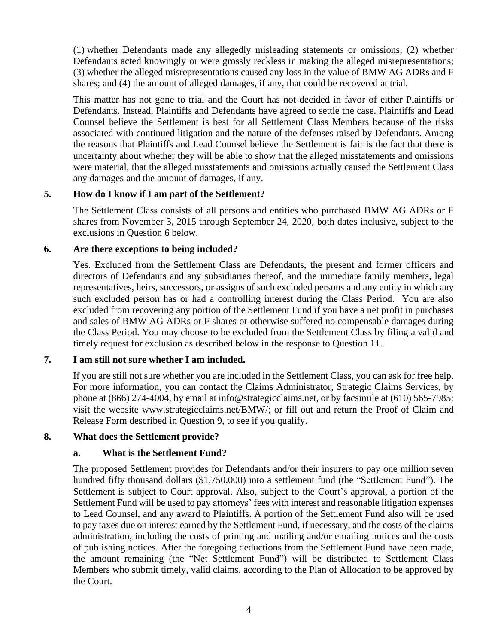(1) whether Defendants made any allegedly misleading statements or omissions; (2) whether Defendants acted knowingly or were grossly reckless in making the alleged misrepresentations; (3) whether the alleged misrepresentations caused any loss in the value of BMW AG ADRs and F shares; and (4) the amount of alleged damages, if any, that could be recovered at trial.

This matter has not gone to trial and the Court has not decided in favor of either Plaintiffs or Defendants. Instead, Plaintiffs and Defendants have agreed to settle the case. Plaintiffs and Lead Counsel believe the Settlement is best for all Settlement Class Members because of the risks associated with continued litigation and the nature of the defenses raised by Defendants. Among the reasons that Plaintiffs and Lead Counsel believe the Settlement is fair is the fact that there is uncertainty about whether they will be able to show that the alleged misstatements and omissions were material, that the alleged misstatements and omissions actually caused the Settlement Class any damages and the amount of damages, if any.

# **5. How do I know if I am part of the Settlement?**

The Settlement Class consists of all persons and entities who purchased BMW AG ADRs or F shares from November 3, 2015 through September 24, 2020, both dates inclusive, subject to the exclusions in Question 6 below.

### **6. Are there exceptions to being included?**

Yes. Excluded from the Settlement Class are Defendants, the present and former officers and directors of Defendants and any subsidiaries thereof, and the immediate family members, legal representatives, heirs, successors, or assigns of such excluded persons and any entity in which any such excluded person has or had a controlling interest during the Class Period. You are also excluded from recovering any portion of the Settlement Fund if you have a net profit in purchases and sales of BMW AG ADRs or F shares or otherwise suffered no compensable damages during the Class Period. You may choose to be excluded from the Settlement Class by filing a valid and timely request for exclusion as described below in the response to Question 11.

# **7. I am still not sure whether I am included.**

If you are still not sure whether you are included in the Settlement Class, you can ask for free help. For more information, you can contact the Claims Administrator, Strategic Claims Services, by phone at (866) 274-4004, by email at info@strategicclaims.net, or by facsimile at (610) 565-7985; visit the website www.strategicclaims.net/BMW/; or fill out and return the Proof of Claim and Release Form described in Question 9, to see if you qualify.

### **8. What does the Settlement provide?**

### **a. What is the Settlement Fund?**

The proposed Settlement provides for Defendants and/or their insurers to pay one million seven hundred fifty thousand dollars (\$1,750,000) into a settlement fund (the "Settlement Fund"). The Settlement is subject to Court approval. Also, subject to the Court's approval, a portion of the Settlement Fund will be used to pay attorneys' fees with interest and reasonable litigation expenses to Lead Counsel, and any award to Plaintiffs. A portion of the Settlement Fund also will be used to pay taxes due on interest earned by the Settlement Fund, if necessary, and the costs of the claims administration, including the costs of printing and mailing and/or emailing notices and the costs of publishing notices. After the foregoing deductions from the Settlement Fund have been made, the amount remaining (the "Net Settlement Fund") will be distributed to Settlement Class Members who submit timely, valid claims, according to the Plan of Allocation to be approved by the Court.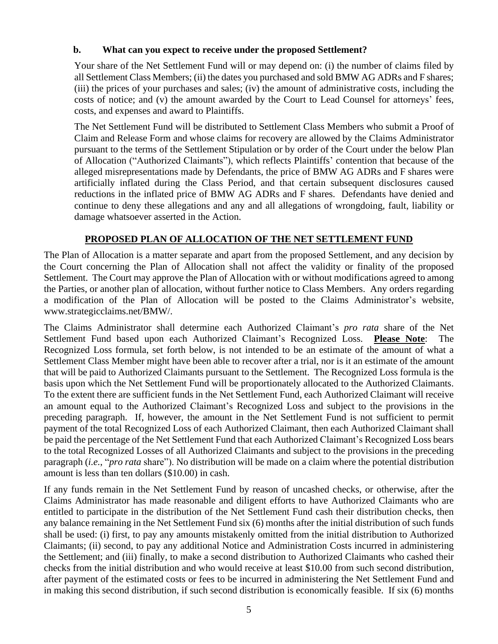# **b. What can you expect to receive under the proposed Settlement?**

Your share of the Net Settlement Fund will or may depend on: (i) the number of claims filed by all Settlement Class Members; (ii) the dates you purchased and sold BMW AG ADRs and F shares; (iii) the prices of your purchases and sales; (iv) the amount of administrative costs, including the costs of notice; and (v) the amount awarded by the Court to Lead Counsel for attorneys' fees, costs, and expenses and award to Plaintiffs.

The Net Settlement Fund will be distributed to Settlement Class Members who submit a Proof of Claim and Release Form and whose claims for recovery are allowed by the Claims Administrator pursuant to the terms of the Settlement Stipulation or by order of the Court under the below Plan of Allocation ("Authorized Claimants"), which reflects Plaintiffs' contention that because of the alleged misrepresentations made by Defendants, the price of BMW AG ADRs and F shares were artificially inflated during the Class Period, and that certain subsequent disclosures caused reductions in the inflated price of BMW AG ADRs and F shares. Defendants have denied and continue to deny these allegations and any and all allegations of wrongdoing, fault, liability or damage whatsoever asserted in the Action.

# **PROPOSED PLAN OF ALLOCATION OF THE NET SETTLEMENT FUND**

The Plan of Allocation is a matter separate and apart from the proposed Settlement, and any decision by the Court concerning the Plan of Allocation shall not affect the validity or finality of the proposed Settlement. The Court may approve the Plan of Allocation with or without modifications agreed to among the Parties, or another plan of allocation, without further notice to Class Members. Any orders regarding a modification of the Plan of Allocation will be posted to the Claims Administrator's website, www.strategicclaims.net/BMW/.

The Claims Administrator shall determine each Authorized Claimant's *pro rata* share of the Net Settlement Fund based upon each Authorized Claimant's Recognized Loss. **Please Note**: The Recognized Loss formula, set forth below, is not intended to be an estimate of the amount of what a Settlement Class Member might have been able to recover after a trial, nor is it an estimate of the amount that will be paid to Authorized Claimants pursuant to the Settlement. The Recognized Loss formula is the basis upon which the Net Settlement Fund will be proportionately allocated to the Authorized Claimants. To the extent there are sufficient funds in the Net Settlement Fund, each Authorized Claimant will receive an amount equal to the Authorized Claimant's Recognized Loss and subject to the provisions in the preceding paragraph. If, however, the amount in the Net Settlement Fund is not sufficient to permit payment of the total Recognized Loss of each Authorized Claimant, then each Authorized Claimant shall be paid the percentage of the Net Settlement Fund that each Authorized Claimant's Recognized Loss bears to the total Recognized Losses of all Authorized Claimants and subject to the provisions in the preceding paragraph (*i.e.*, "*pro rata* share"). No distribution will be made on a claim where the potential distribution amount is less than ten dollars (\$10.00) in cash.

If any funds remain in the Net Settlement Fund by reason of uncashed checks, or otherwise, after the Claims Administrator has made reasonable and diligent efforts to have Authorized Claimants who are entitled to participate in the distribution of the Net Settlement Fund cash their distribution checks, then any balance remaining in the Net Settlement Fund six (6) months after the initial distribution of such funds shall be used: (i) first, to pay any amounts mistakenly omitted from the initial distribution to Authorized Claimants; (ii) second, to pay any additional Notice and Administration Costs incurred in administering the Settlement; and (iii) finally, to make a second distribution to Authorized Claimants who cashed their checks from the initial distribution and who would receive at least \$10.00 from such second distribution, after payment of the estimated costs or fees to be incurred in administering the Net Settlement Fund and in making this second distribution, if such second distribution is economically feasible. If six (6) months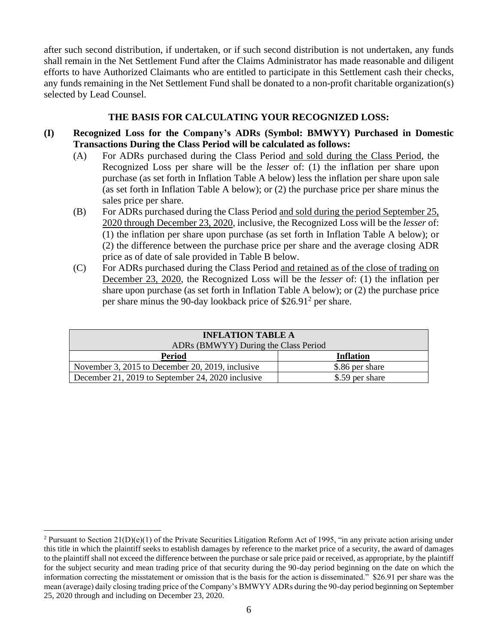after such second distribution, if undertaken, or if such second distribution is not undertaken, any funds shall remain in the Net Settlement Fund after the Claims Administrator has made reasonable and diligent efforts to have Authorized Claimants who are entitled to participate in this Settlement cash their checks, any funds remaining in the Net Settlement Fund shall be donated to a non-profit charitable organization(s) selected by Lead Counsel.

### **THE BASIS FOR CALCULATING YOUR RECOGNIZED LOSS:**

- **(I) Recognized Loss for the Company's ADRs (Symbol: BMWYY) Purchased in Domestic Transactions During the Class Period will be calculated as follows:**
	- (A) For ADRs purchased during the Class Period and sold during the Class Period, the Recognized Loss per share will be the *lesser* of: (1) the inflation per share upon purchase (as set forth in Inflation Table A below) less the inflation per share upon sale (as set forth in Inflation Table A below); or (2) the purchase price per share minus the sales price per share.
	- (B) For ADRs purchased during the Class Period and sold during the period September 25, 2020 through December 23, 2020, inclusive, the Recognized Loss will be the *lesser* of: (1) the inflation per share upon purchase (as set forth in Inflation Table A below); or (2) the difference between the purchase price per share and the average closing ADR price as of date of sale provided in Table B below.
	- (C) For ADRs purchased during the Class Period and retained as of the close of trading on December 23, 2020, the Recognized Loss will be the *lesser* of: (1) the inflation per share upon purchase (as set forth in Inflation Table A below); or (2) the purchase price per share minus the 90-day lookback price of  $$26.91<sup>2</sup>$  per share.

| <b>INFLATION TABLE A</b>                          |                  |  |  |  |  |  |  |
|---------------------------------------------------|------------------|--|--|--|--|--|--|
| ADRs (BMWYY) During the Class Period              |                  |  |  |  |  |  |  |
| <b>Period</b>                                     | <b>Inflation</b> |  |  |  |  |  |  |
| November 3, 2015 to December 20, 2019, inclusive  | \$.86 per share  |  |  |  |  |  |  |
| December 21, 2019 to September 24, 2020 inclusive | \$.59 per share  |  |  |  |  |  |  |

<sup>&</sup>lt;sup>2</sup> Pursuant to Section  $21(D)(e)(1)$  of the Private Securities Litigation Reform Act of 1995, "in any private action arising under this title in which the plaintiff seeks to establish damages by reference to the market price of a security, the award of damages to the plaintiff shall not exceed the difference between the purchase or sale price paid or received, as appropriate, by the plaintiff for the subject security and mean trading price of that security during the 90-day period beginning on the date on which the information correcting the misstatement or omission that is the basis for the action is disseminated." \$26.91 per share was the mean (average) daily closing trading price of the Company's BMWYY ADRs during the 90-day period beginning on September 25, 2020 through and including on December 23, 2020.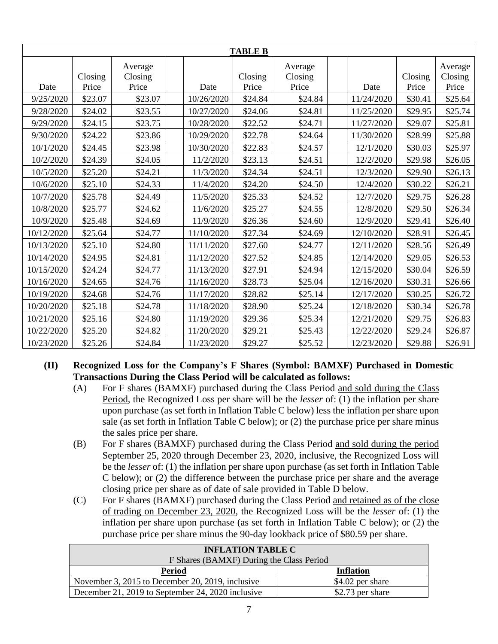| <b>TABLE B</b> |         |                    |  |            |         |                    |  |            |         |                    |
|----------------|---------|--------------------|--|------------|---------|--------------------|--|------------|---------|--------------------|
|                | Closing | Average<br>Closing |  |            | Closing | Average<br>Closing |  |            | Closing | Average<br>Closing |
| Date           | Price   | Price              |  | Date       | Price   | Price              |  | Date       | Price   | Price              |
| 9/25/2020      | \$23.07 | \$23.07            |  | 10/26/2020 | \$24.84 | \$24.84            |  | 11/24/2020 | \$30.41 | \$25.64            |
| 9/28/2020      | \$24.02 | \$23.55            |  | 10/27/2020 | \$24.06 | \$24.81            |  | 11/25/2020 | \$29.95 | \$25.74            |
| 9/29/2020      | \$24.15 | \$23.75            |  | 10/28/2020 | \$22.52 | \$24.71            |  | 11/27/2020 | \$29.07 | \$25.81            |
| 9/30/2020      | \$24.22 | \$23.86            |  | 10/29/2020 | \$22.78 | \$24.64            |  | 11/30/2020 | \$28.99 | \$25.88            |
| 10/1/2020      | \$24.45 | \$23.98            |  | 10/30/2020 | \$22.83 | \$24.57            |  | 12/1/2020  | \$30.03 | \$25.97            |
| 10/2/2020      | \$24.39 | \$24.05            |  | 11/2/2020  | \$23.13 | \$24.51            |  | 12/2/2020  | \$29.98 | \$26.05            |
| 10/5/2020      | \$25.20 | \$24.21            |  | 11/3/2020  | \$24.34 | \$24.51            |  | 12/3/2020  | \$29.90 | \$26.13            |
| 10/6/2020      | \$25.10 | \$24.33            |  | 11/4/2020  | \$24.20 | \$24.50            |  | 12/4/2020  | \$30.22 | \$26.21            |
| 10/7/2020      | \$25.78 | \$24.49            |  | 11/5/2020  | \$25.33 | \$24.52            |  | 12/7/2020  | \$29.75 | \$26.28            |
| 10/8/2020      | \$25.77 | \$24.62            |  | 11/6/2020  | \$25.27 | \$24.55            |  | 12/8/2020  | \$29.50 | \$26.34            |
| 10/9/2020      | \$25.48 | \$24.69            |  | 11/9/2020  | \$26.36 | \$24.60            |  | 12/9/2020  | \$29.41 | \$26.40            |
| 10/12/2020     | \$25.64 | \$24.77            |  | 11/10/2020 | \$27.34 | \$24.69            |  | 12/10/2020 | \$28.91 | \$26.45            |
| 10/13/2020     | \$25.10 | \$24.80            |  | 11/11/2020 | \$27.60 | \$24.77            |  | 12/11/2020 | \$28.56 | \$26.49            |
| 10/14/2020     | \$24.95 | \$24.81            |  | 11/12/2020 | \$27.52 | \$24.85            |  | 12/14/2020 | \$29.05 | \$26.53            |
| 10/15/2020     | \$24.24 | \$24.77            |  | 11/13/2020 | \$27.91 | \$24.94            |  | 12/15/2020 | \$30.04 | \$26.59            |
| 10/16/2020     | \$24.65 | \$24.76            |  | 11/16/2020 | \$28.73 | \$25.04            |  | 12/16/2020 | \$30.31 | \$26.66            |
| 10/19/2020     | \$24.68 | \$24.76            |  | 11/17/2020 | \$28.82 | \$25.14            |  | 12/17/2020 | \$30.25 | \$26.72            |
| 10/20/2020     | \$25.18 | \$24.78            |  | 11/18/2020 | \$28.90 | \$25.24            |  | 12/18/2020 | \$30.34 | \$26.78            |
| 10/21/2020     | \$25.16 | \$24.80            |  | 11/19/2020 | \$29.36 | \$25.34            |  | 12/21/2020 | \$29.75 | \$26.83            |
| 10/22/2020     | \$25.20 | \$24.82            |  | 11/20/2020 | \$29.21 | \$25.43            |  | 12/22/2020 | \$29.24 | \$26.87            |
| 10/23/2020     | \$25.26 | \$24.84            |  | 11/23/2020 | \$29.27 | \$25.52            |  | 12/23/2020 | \$29.88 | \$26.91            |

# **(II) Recognized Loss for the Company's F Shares (Symbol: BAMXF) Purchased in Domestic Transactions During the Class Period will be calculated as follows:**

- (A) For F shares (BAMXF) purchased during the Class Period and sold during the Class Period, the Recognized Loss per share will be the *lesser* of: (1) the inflation per share upon purchase (as set forth in Inflation Table C below) less the inflation per share upon sale (as set forth in Inflation Table C below); or (2) the purchase price per share minus the sales price per share.
- (B) For F shares (BAMXF) purchased during the Class Period and sold during the period September 25, 2020 through December 23, 2020, inclusive, the Recognized Loss will be the *lesser* of: (1) the inflation per share upon purchase (as set forth in Inflation Table C below); or (2) the difference between the purchase price per share and the average closing price per share as of date of sale provided in Table D below.
- (C) For F shares (BAMXF) purchased during the Class Period and retained as of the close of trading on December 23, 2020, the Recognized Loss will be the *lesser* of: (1) the inflation per share upon purchase (as set forth in Inflation Table C below); or (2) the purchase price per share minus the 90-day lookback price of \$80.59 per share.

| <b>INFLATION TABLE C</b>                          |                   |  |  |  |  |  |
|---------------------------------------------------|-------------------|--|--|--|--|--|
| F Shares (BAMXF) During the Class Period          |                   |  |  |  |  |  |
| <b>Inflation</b><br>Period                        |                   |  |  |  |  |  |
| November 3, 2015 to December 20, 2019, inclusive  | $$4.02$ per share |  |  |  |  |  |
| December 21, 2019 to September 24, 2020 inclusive | \$2.73 per share  |  |  |  |  |  |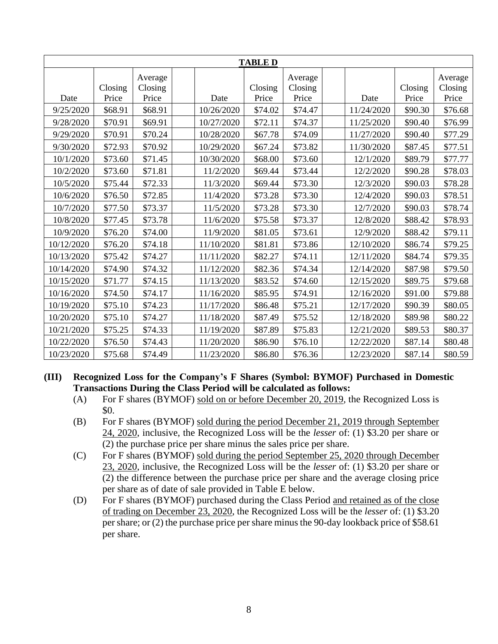| <b>TABLE D</b> |         |                    |  |            |         |                    |  |            |         |                    |
|----------------|---------|--------------------|--|------------|---------|--------------------|--|------------|---------|--------------------|
|                | Closing | Average<br>Closing |  |            | Closing | Average<br>Closing |  |            | Closing | Average<br>Closing |
| Date           | Price   | Price              |  | Date       | Price   | Price              |  | Date       | Price   | Price              |
| 9/25/2020      | \$68.91 | \$68.91            |  | 10/26/2020 | \$74.02 | \$74.47            |  | 11/24/2020 | \$90.30 | \$76.68            |
| 9/28/2020      | \$70.91 | \$69.91            |  | 10/27/2020 | \$72.11 | \$74.37            |  | 11/25/2020 | \$90.40 | \$76.99            |
| 9/29/2020      | \$70.91 | \$70.24            |  | 10/28/2020 | \$67.78 | \$74.09            |  | 11/27/2020 | \$90.40 | \$77.29            |
| 9/30/2020      | \$72.93 | \$70.92            |  | 10/29/2020 | \$67.24 | \$73.82            |  | 11/30/2020 | \$87.45 | \$77.51            |
| 10/1/2020      | \$73.60 | \$71.45            |  | 10/30/2020 | \$68.00 | \$73.60            |  | 12/1/2020  | \$89.79 | \$77.77            |
| 10/2/2020      | \$73.60 | \$71.81            |  | 11/2/2020  | \$69.44 | \$73.44            |  | 12/2/2020  | \$90.28 | \$78.03            |
| 10/5/2020      | \$75.44 | \$72.33            |  | 11/3/2020  | \$69.44 | \$73.30            |  | 12/3/2020  | \$90.03 | \$78.28            |
| 10/6/2020      | \$76.50 | \$72.85            |  | 11/4/2020  | \$73.28 | \$73.30            |  | 12/4/2020  | \$90.03 | \$78.51            |
| 10/7/2020      | \$77.50 | \$73.37            |  | 11/5/2020  | \$73.28 | \$73.30            |  | 12/7/2020  | \$90.03 | \$78.74            |
| 10/8/2020      | \$77.45 | \$73.78            |  | 11/6/2020  | \$75.58 | \$73.37            |  | 12/8/2020  | \$88.42 | \$78.93            |
| 10/9/2020      | \$76.20 | \$74.00            |  | 11/9/2020  | \$81.05 | \$73.61            |  | 12/9/2020  | \$88.42 | \$79.11            |
| 10/12/2020     | \$76.20 | \$74.18            |  | 11/10/2020 | \$81.81 | \$73.86            |  | 12/10/2020 | \$86.74 | \$79.25            |
| 10/13/2020     | \$75.42 | \$74.27            |  | 11/11/2020 | \$82.27 | \$74.11            |  | 12/11/2020 | \$84.74 | \$79.35            |
| 10/14/2020     | \$74.90 | \$74.32            |  | 11/12/2020 | \$82.36 | \$74.34            |  | 12/14/2020 | \$87.98 | \$79.50            |
| 10/15/2020     | \$71.77 | \$74.15            |  | 11/13/2020 | \$83.52 | \$74.60            |  | 12/15/2020 | \$89.75 | \$79.68            |
| 10/16/2020     | \$74.50 | \$74.17            |  | 11/16/2020 | \$85.95 | \$74.91            |  | 12/16/2020 | \$91.00 | \$79.88            |
| 10/19/2020     | \$75.10 | \$74.23            |  | 11/17/2020 | \$86.48 | \$75.21            |  | 12/17/2020 | \$90.39 | \$80.05            |
| 10/20/2020     | \$75.10 | \$74.27            |  | 11/18/2020 | \$87.49 | \$75.52            |  | 12/18/2020 | \$89.98 | \$80.22            |
| 10/21/2020     | \$75.25 | \$74.33            |  | 11/19/2020 | \$87.89 | \$75.83            |  | 12/21/2020 | \$89.53 | \$80.37            |
| 10/22/2020     | \$76.50 | \$74.43            |  | 11/20/2020 | \$86.90 | \$76.10            |  | 12/22/2020 | \$87.14 | \$80.48            |
| 10/23/2020     | \$75.68 | \$74.49            |  | 11/23/2020 | \$86.80 | \$76.36            |  | 12/23/2020 | \$87.14 | \$80.59            |

- **(III) Recognized Loss for the Company's F Shares (Symbol: BYMOF) Purchased in Domestic Transactions During the Class Period will be calculated as follows:**
	- (A) For F shares (BYMOF) sold on or before December 20, 2019, the Recognized Loss is \$0.
	- (B) For F shares (BYMOF) sold during the period December 21, 2019 through September 24, 2020, inclusive, the Recognized Loss will be the *lesser* of: (1) \$3.20 per share or (2) the purchase price per share minus the sales price per share.
	- (C) For F shares (BYMOF) sold during the period September 25, 2020 through December 23, 2020, inclusive, the Recognized Loss will be the *lesser* of: (1) \$3.20 per share or (2) the difference between the purchase price per share and the average closing price per share as of date of sale provided in Table E below.
	- (D) For F shares (BYMOF) purchased during the Class Period and retained as of the close of trading on December 23, 2020, the Recognized Loss will be the *lesser* of: (1) \$3.20 per share; or (2) the purchase price per share minus the 90-day lookback price of \$58.61 per share.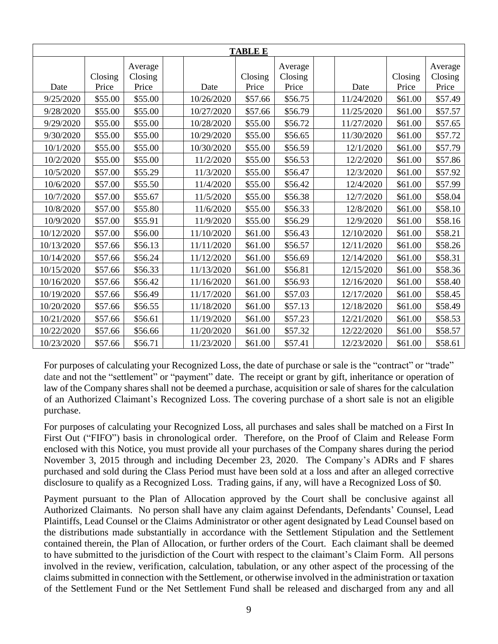| <b>TABLE E</b> |         |         |  |            |         |         |  |            |         |         |
|----------------|---------|---------|--|------------|---------|---------|--|------------|---------|---------|
|                |         | Average |  |            |         | Average |  |            |         | Average |
|                | Closing | Closing |  |            | Closing | Closing |  |            | Closing | Closing |
| Date           | Price   | Price   |  | Date       | Price   | Price   |  | Date       | Price   | Price   |
| 9/25/2020      | \$55.00 | \$55.00 |  | 10/26/2020 | \$57.66 | \$56.75 |  | 11/24/2020 | \$61.00 | \$57.49 |
| 9/28/2020      | \$55.00 | \$55.00 |  | 10/27/2020 | \$57.66 | \$56.79 |  | 11/25/2020 | \$61.00 | \$57.57 |
| 9/29/2020      | \$55.00 | \$55.00 |  | 10/28/2020 | \$55.00 | \$56.72 |  | 11/27/2020 | \$61.00 | \$57.65 |
| 9/30/2020      | \$55.00 | \$55.00 |  | 10/29/2020 | \$55.00 | \$56.65 |  | 11/30/2020 | \$61.00 | \$57.72 |
| 10/1/2020      | \$55.00 | \$55.00 |  | 10/30/2020 | \$55.00 | \$56.59 |  | 12/1/2020  | \$61.00 | \$57.79 |
| 10/2/2020      | \$55.00 | \$55.00 |  | 11/2/2020  | \$55.00 | \$56.53 |  | 12/2/2020  | \$61.00 | \$57.86 |
| 10/5/2020      | \$57.00 | \$55.29 |  | 11/3/2020  | \$55.00 | \$56.47 |  | 12/3/2020  | \$61.00 | \$57.92 |
| 10/6/2020      | \$57.00 | \$55.50 |  | 11/4/2020  | \$55.00 | \$56.42 |  | 12/4/2020  | \$61.00 | \$57.99 |
| 10/7/2020      | \$57.00 | \$55.67 |  | 11/5/2020  | \$55.00 | \$56.38 |  | 12/7/2020  | \$61.00 | \$58.04 |
| 10/8/2020      | \$57.00 | \$55.80 |  | 11/6/2020  | \$55.00 | \$56.33 |  | 12/8/2020  | \$61.00 | \$58.10 |
| 10/9/2020      | \$57.00 | \$55.91 |  | 11/9/2020  | \$55.00 | \$56.29 |  | 12/9/2020  | \$61.00 | \$58.16 |
| 10/12/2020     | \$57.00 | \$56.00 |  | 11/10/2020 | \$61.00 | \$56.43 |  | 12/10/2020 | \$61.00 | \$58.21 |
| 10/13/2020     | \$57.66 | \$56.13 |  | 11/11/2020 | \$61.00 | \$56.57 |  | 12/11/2020 | \$61.00 | \$58.26 |
| 10/14/2020     | \$57.66 | \$56.24 |  | 11/12/2020 | \$61.00 | \$56.69 |  | 12/14/2020 | \$61.00 | \$58.31 |
| 10/15/2020     | \$57.66 | \$56.33 |  | 11/13/2020 | \$61.00 | \$56.81 |  | 12/15/2020 | \$61.00 | \$58.36 |
| 10/16/2020     | \$57.66 | \$56.42 |  | 11/16/2020 | \$61.00 | \$56.93 |  | 12/16/2020 | \$61.00 | \$58.40 |
| 10/19/2020     | \$57.66 | \$56.49 |  | 11/17/2020 | \$61.00 | \$57.03 |  | 12/17/2020 | \$61.00 | \$58.45 |
| 10/20/2020     | \$57.66 | \$56.55 |  | 11/18/2020 | \$61.00 | \$57.13 |  | 12/18/2020 | \$61.00 | \$58.49 |
| 10/21/2020     | \$57.66 | \$56.61 |  | 11/19/2020 | \$61.00 | \$57.23 |  | 12/21/2020 | \$61.00 | \$58.53 |
| 10/22/2020     | \$57.66 | \$56.66 |  | 11/20/2020 | \$61.00 | \$57.32 |  | 12/22/2020 | \$61.00 | \$58.57 |
| 10/23/2020     | \$57.66 | \$56.71 |  | 11/23/2020 | \$61.00 | \$57.41 |  | 12/23/2020 | \$61.00 | \$58.61 |

For purposes of calculating your Recognized Loss, the date of purchase or sale is the "contract" or "trade" date and not the "settlement" or "payment" date. The receipt or grant by gift, inheritance or operation of law of the Company shares shall not be deemed a purchase, acquisition or sale of shares for the calculation of an Authorized Claimant's Recognized Loss. The covering purchase of a short sale is not an eligible purchase.

For purposes of calculating your Recognized Loss, all purchases and sales shall be matched on a First In First Out ("FIFO") basis in chronological order. Therefore, on the Proof of Claim and Release Form enclosed with this Notice, you must provide all your purchases of the Company shares during the period November 3, 2015 through and including December 23, 2020. The Company's ADRs and F shares purchased and sold during the Class Period must have been sold at a loss and after an alleged corrective disclosure to qualify as a Recognized Loss. Trading gains, if any, will have a Recognized Loss of \$0.

Payment pursuant to the Plan of Allocation approved by the Court shall be conclusive against all Authorized Claimants. No person shall have any claim against Defendants, Defendants' Counsel, Lead Plaintiffs, Lead Counsel or the Claims Administrator or other agent designated by Lead Counsel based on the distributions made substantially in accordance with the Settlement Stipulation and the Settlement contained therein, the Plan of Allocation, or further orders of the Court. Each claimant shall be deemed to have submitted to the jurisdiction of the Court with respect to the claimant's Claim Form. All persons involved in the review, verification, calculation, tabulation, or any other aspect of the processing of the claims submitted in connection with the Settlement, or otherwise involved in the administration or taxation of the Settlement Fund or the Net Settlement Fund shall be released and discharged from any and all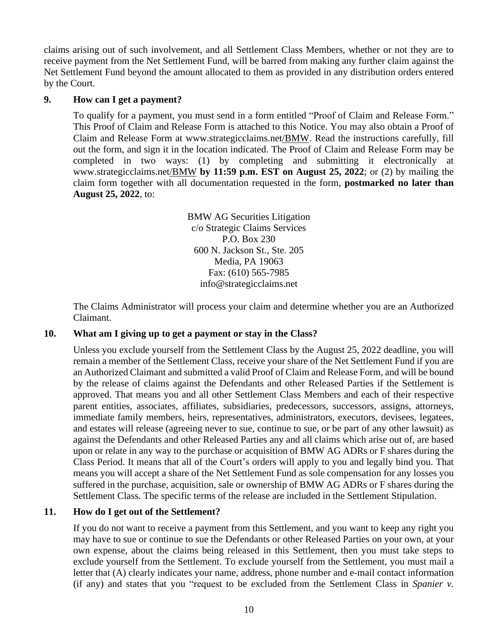claims arising out of such involvement, and all Settlement Class Members, whether or not they are to receive payment from the Net Settlement Fund, will be barred from making any further claim against the Net Settlement Fund beyond the amount allocated to them as provided in any distribution orders entered by the Court.

# **9. How can I get a payment?**

To qualify for a payment, you must send in a form entitled "Proof of Claim and Release Form." This Proof of Claim and Release Form is attached to this Notice. You may also obtain a Proof of Claim and Release Form at www.strategicclaims.net/BMW. Read the instructions carefully, fill out the form, and sign it in the location indicated. The Proof of Claim and Release Form may be completed in two ways: (1) by completing and submitting it electronically at www.strategicclaims.net/BMW **by 11:59 p.m. EST on August 25, 2022**; or (2) by mailing the claim form together with all documentation requested in the form, **postmarked no later than August 25, 2022**, to:

> BMW AG Securities Litigation c/o Strategic Claims Services P.O. Box 230 600 N. Jackson St., Ste. 205 Media, PA 19063 Fax: (610) 565-7985 info@strategicclaims.net

The Claims Administrator will process your claim and determine whether you are an Authorized Claimant.

### **10. What am I giving up to get a payment or stay in the Class?**

Unless you exclude yourself from the Settlement Class by the August 25, 2022 deadline, you will remain a member of the Settlement Class, receive your share of the Net Settlement Fund if you are an Authorized Claimant and submitted a valid Proof of Claim and Release Form, and will be bound by the release of claims against the Defendants and other Released Parties if the Settlement is approved. That means you and all other Settlement Class Members and each of their respective parent entities, associates, affiliates, subsidiaries, predecessors, successors, assigns, attorneys, immediate family members, heirs, representatives, administrators, executors, devisees, legatees, and estates will release (agreeing never to sue, continue to sue, or be part of any other lawsuit) as against the Defendants and other Released Parties any and all claims which arise out of, are based upon or relate in any way to the purchase or acquisition of BMW AG ADRs or F shares during the Class Period. It means that all of the Court's orders will apply to you and legally bind you. That means you will accept a share of the Net Settlement Fund as sole compensation for any losses you suffered in the purchase, acquisition, sale or ownership of BMW AG ADRs or F shares during the Settlement Class. The specific terms of the release are included in the Settlement Stipulation.

# **11. How do I get out of the Settlement?**

If you do not want to receive a payment from this Settlement, and you want to keep any right you may have to sue or continue to sue the Defendants or other Released Parties on your own, at your own expense, about the claims being released in this Settlement, then you must take steps to exclude yourself from the Settlement. To exclude yourself from the Settlement, you must mail a letter that (A) clearly indicates your name, address, phone number and e-mail contact information (if any) and states that you "request to be excluded from the Settlement Class in *Spanier v.*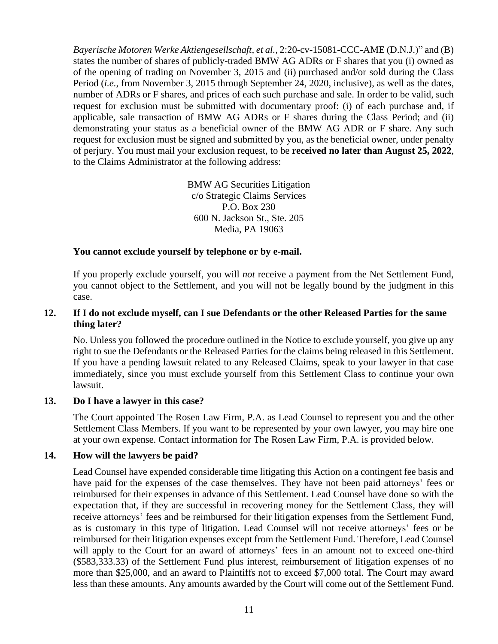*Bayerische Motoren Werke Aktiengesellschaft, et al.,* 2:20-cv-15081-CCC-AME (D.N.J.)" and (B) states the number of shares of publicly-traded BMW AG ADRs or F shares that you (i) owned as of the opening of trading on November 3, 2015 and (ii) purchased and/or sold during the Class Period (*i.e.*, from November 3, 2015 through September 24, 2020, inclusive), as well as the dates, number of ADRs or F shares, and prices of each such purchase and sale. In order to be valid, such request for exclusion must be submitted with documentary proof: (i) of each purchase and, if applicable, sale transaction of BMW AG ADRs or F shares during the Class Period; and (ii) demonstrating your status as a beneficial owner of the BMW AG ADR or F share. Any such request for exclusion must be signed and submitted by you, as the beneficial owner, under penalty of perjury. You must mail your exclusion request, to be **received no later than August 25, 2022**, to the Claims Administrator at the following address:

> BMW AG Securities Litigation c/o Strategic Claims Services P.O. Box 230 600 N. Jackson St., Ste. 205 Media, PA 19063

### **You cannot exclude yourself by telephone or by e-mail.**

If you properly exclude yourself, you will *not* receive a payment from the Net Settlement Fund, you cannot object to the Settlement, and you will not be legally bound by the judgment in this case.

### 12. If I do not exclude myself, can I sue Defendants or the other Released Parties for the same **thing later?**

No. Unless you followed the procedure outlined in the Notice to exclude yourself, you give up any right to sue the Defendants or the Released Parties for the claims being released in this Settlement. If you have a pending lawsuit related to any Released Claims, speak to your lawyer in that case immediately, since you must exclude yourself from this Settlement Class to continue your own lawsuit.

### **13. Do I have a lawyer in this case?**

The Court appointed The Rosen Law Firm, P.A. as Lead Counsel to represent you and the other Settlement Class Members. If you want to be represented by your own lawyer, you may hire one at your own expense. Contact information for The Rosen Law Firm, P.A. is provided below.

### **14. How will the lawyers be paid?**

Lead Counsel have expended considerable time litigating this Action on a contingent fee basis and have paid for the expenses of the case themselves. They have not been paid attorneys' fees or reimbursed for their expenses in advance of this Settlement. Lead Counsel have done so with the expectation that, if they are successful in recovering money for the Settlement Class, they will receive attorneys' fees and be reimbursed for their litigation expenses from the Settlement Fund, as is customary in this type of litigation. Lead Counsel will not receive attorneys' fees or be reimbursed for their litigation expenses except from the Settlement Fund. Therefore, Lead Counsel will apply to the Court for an award of attorneys' fees in an amount not to exceed one-third (\$583,333.33) of the Settlement Fund plus interest, reimbursement of litigation expenses of no more than \$25,000, and an award to Plaintiffs not to exceed \$7,000 total. The Court may award less than these amounts. Any amounts awarded by the Court will come out of the Settlement Fund.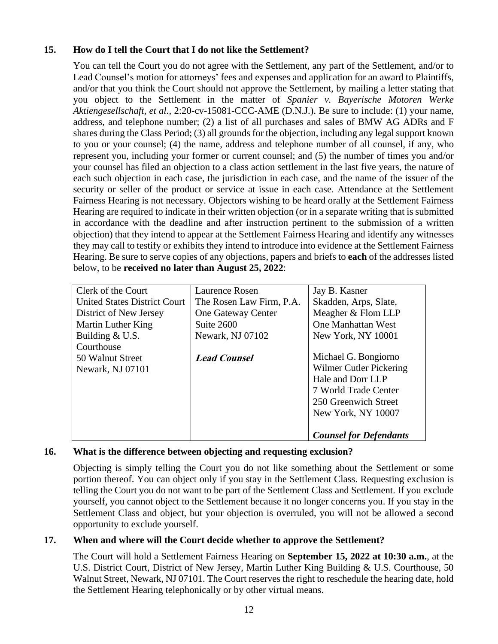# **15. How do I tell the Court that I do not like the Settlement?**

You can tell the Court you do not agree with the Settlement, any part of the Settlement, and/or to Lead Counsel's motion for attorneys' fees and expenses and application for an award to Plaintiffs, and/or that you think the Court should not approve the Settlement, by mailing a letter stating that you object to the Settlement in the matter of *Spanier v. Bayerische Motoren Werke Aktiengesellschaft, et al.,* 2:20-cv-15081-CCC-AME (D.N.J.). Be sure to include: (1) your name, address, and telephone number; (2) a list of all purchases and sales of BMW AG ADRs and F shares during the Class Period; (3) all grounds for the objection, including any legal support known to you or your counsel; (4) the name, address and telephone number of all counsel, if any, who represent you, including your former or current counsel; and (5) the number of times you and/or your counsel has filed an objection to a class action settlement in the last five years, the nature of each such objection in each case, the jurisdiction in each case, and the name of the issuer of the security or seller of the product or service at issue in each case. Attendance at the Settlement Fairness Hearing is not necessary. Objectors wishing to be heard orally at the Settlement Fairness Hearing are required to indicate in their written objection (or in a separate writing that is submitted in accordance with the deadline and after instruction pertinent to the submission of a written objection) that they intend to appear at the Settlement Fairness Hearing and identify any witnesses they may call to testify or exhibits they intend to introduce into evidence at the Settlement Fairness Hearing. Be sure to serve copies of any objections, papers and briefs to **each** of the addresses listed below, to be **received no later than August 25, 2022**:

| Clerk of the Court                  | Laurence Rosen           | Jay B. Kasner                 |
|-------------------------------------|--------------------------|-------------------------------|
| <b>United States District Court</b> | The Rosen Law Firm, P.A. | Skadden, Arps, Slate,         |
| District of New Jersey              | One Gateway Center       | Meagher & Flom LLP            |
| Martin Luther King                  | Suite 2600               | <b>One Manhattan West</b>     |
| Building & U.S.                     | Newark, NJ 07102         | New York, NY 10001            |
| Courthouse                          |                          |                               |
| 50 Walnut Street                    | <b>Lead Counsel</b>      | Michael G. Bongiorno          |
| Newark, NJ 07101                    |                          | Wilmer Cutler Pickering       |
|                                     |                          | Hale and Dorr LLP             |
|                                     |                          | 7 World Trade Center          |
|                                     |                          | 250 Greenwich Street          |
|                                     |                          | New York, NY 10007            |
|                                     |                          |                               |
|                                     |                          | <b>Counsel for Defendants</b> |

# **16. What is the difference between objecting and requesting exclusion?**

Objecting is simply telling the Court you do not like something about the Settlement or some portion thereof. You can object only if you stay in the Settlement Class. Requesting exclusion is telling the Court you do not want to be part of the Settlement Class and Settlement. If you exclude yourself, you cannot object to the Settlement because it no longer concerns you. If you stay in the Settlement Class and object, but your objection is overruled, you will not be allowed a second opportunity to exclude yourself.

# **17. When and where will the Court decide whether to approve the Settlement?**

The Court will hold a Settlement Fairness Hearing on **September 15, 2022 at 10:30 a.m.**, at the U.S. District Court, District of New Jersey, Martin Luther King Building & U.S. Courthouse, 50 Walnut Street, Newark, NJ 07101. The Court reserves the right to reschedule the hearing date, hold the Settlement Hearing telephonically or by other virtual means.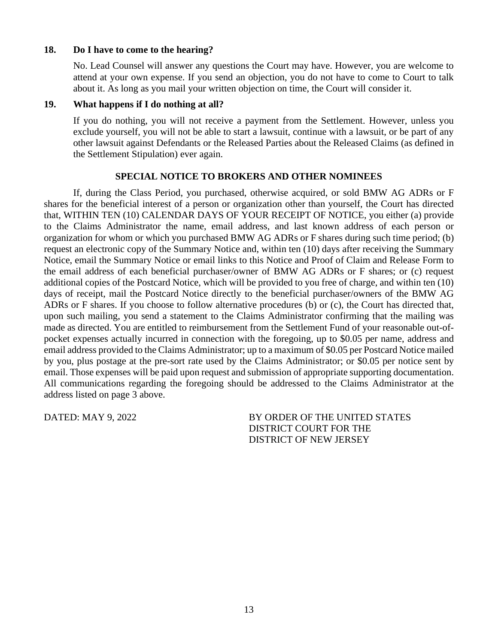### **18. Do I have to come to the hearing?**

No. Lead Counsel will answer any questions the Court may have. However, you are welcome to attend at your own expense. If you send an objection, you do not have to come to Court to talk about it. As long as you mail your written objection on time, the Court will consider it.

### **19. What happens if I do nothing at all?**

If you do nothing, you will not receive a payment from the Settlement. However, unless you exclude yourself, you will not be able to start a lawsuit, continue with a lawsuit, or be part of any other lawsuit against Defendants or the Released Parties about the Released Claims (as defined in the Settlement Stipulation) ever again.

### **SPECIAL NOTICE TO BROKERS AND OTHER NOMINEES**

If, during the Class Period, you purchased, otherwise acquired, or sold BMW AG ADRs or F shares for the beneficial interest of a person or organization other than yourself, the Court has directed that, WITHIN TEN (10) CALENDAR DAYS OF YOUR RECEIPT OF NOTICE, you either (a) provide to the Claims Administrator the name, email address, and last known address of each person or organization for whom or which you purchased BMW AG ADRs or F shares during such time period; (b) request an electronic copy of the Summary Notice and, within ten (10) days after receiving the Summary Notice, email the Summary Notice or email links to this Notice and Proof of Claim and Release Form to the email address of each beneficial purchaser/owner of BMW AG ADRs or F shares; or (c) request additional copies of the Postcard Notice, which will be provided to you free of charge, and within ten (10) days of receipt, mail the Postcard Notice directly to the beneficial purchaser/owners of the BMW AG ADRs or F shares. If you choose to follow alternative procedures (b) or (c), the Court has directed that, upon such mailing, you send a statement to the Claims Administrator confirming that the mailing was made as directed. You are entitled to reimbursement from the Settlement Fund of your reasonable out-ofpocket expenses actually incurred in connection with the foregoing, up to \$0.05 per name, address and email address provided to the Claims Administrator; up to a maximum of \$0.05 per Postcard Notice mailed by you, plus postage at the pre-sort rate used by the Claims Administrator; or \$0.05 per notice sent by email. Those expenses will be paid upon request and submission of appropriate supporting documentation. All communications regarding the foregoing should be addressed to the Claims Administrator at the address listed on page 3 above.

DATED: MAY 9, 2022 BY ORDER OF THE UNITED STATES DISTRICT COURT FOR THE DISTRICT OF NEW JERSEY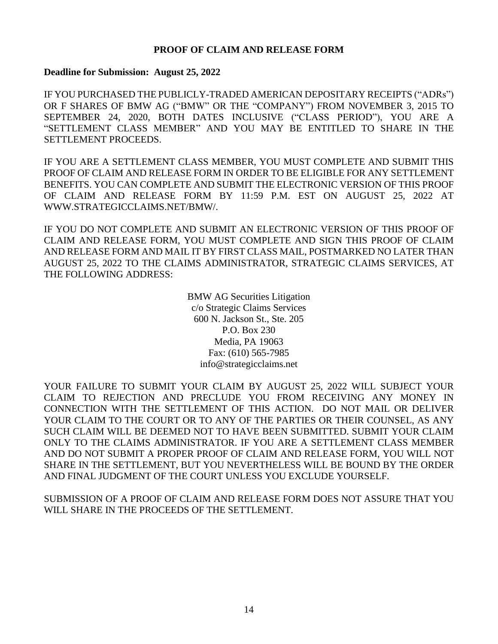### **PROOF OF CLAIM AND RELEASE FORM**

#### **Deadline for Submission: August 25, 2022**

IF YOU PURCHASED THE PUBLICLY-TRADED AMERICAN DEPOSITARY RECEIPTS ("ADRs") OR F SHARES OF BMW AG ("BMW" OR THE "COMPANY") FROM NOVEMBER 3, 2015 TO SEPTEMBER 24, 2020, BOTH DATES INCLUSIVE ("CLASS PERIOD"), YOU ARE A "SETTLEMENT CLASS MEMBER" AND YOU MAY BE ENTITLED TO SHARE IN THE SETTLEMENT PROCEEDS.

IF YOU ARE A SETTLEMENT CLASS MEMBER, YOU MUST COMPLETE AND SUBMIT THIS PROOF OF CLAIM AND RELEASE FORM IN ORDER TO BE ELIGIBLE FOR ANY SETTLEMENT BENEFITS. YOU CAN COMPLETE AND SUBMIT THE ELECTRONIC VERSION OF THIS PROOF OF CLAIM AND RELEASE FORM BY 11:59 P.M. EST ON AUGUST 25, 2022 AT WWW.STRATEGICCLAIMS.NET/BMW/.

IF YOU DO NOT COMPLETE AND SUBMIT AN ELECTRONIC VERSION OF THIS PROOF OF CLAIM AND RELEASE FORM, YOU MUST COMPLETE AND SIGN THIS PROOF OF CLAIM AND RELEASE FORM AND MAIL IT BY FIRST CLASS MAIL, POSTMARKED NO LATER THAN AUGUST 25, 2022 TO THE CLAIMS ADMINISTRATOR, STRATEGIC CLAIMS SERVICES, AT THE FOLLOWING ADDRESS:

> BMW AG Securities Litigation c/o Strategic Claims Services 600 N. Jackson St., Ste. 205 P.O. Box 230 Media, PA 19063 Fax: (610) 565-7985 info@strategicclaims.net

YOUR FAILURE TO SUBMIT YOUR CLAIM BY AUGUST 25, 2022 WILL SUBJECT YOUR CLAIM TO REJECTION AND PRECLUDE YOU FROM RECEIVING ANY MONEY IN CONNECTION WITH THE SETTLEMENT OF THIS ACTION. DO NOT MAIL OR DELIVER YOUR CLAIM TO THE COURT OR TO ANY OF THE PARTIES OR THEIR COUNSEL, AS ANY SUCH CLAIM WILL BE DEEMED NOT TO HAVE BEEN SUBMITTED. SUBMIT YOUR CLAIM ONLY TO THE CLAIMS ADMINISTRATOR. IF YOU ARE A SETTLEMENT CLASS MEMBER AND DO NOT SUBMIT A PROPER PROOF OF CLAIM AND RELEASE FORM, YOU WILL NOT SHARE IN THE SETTLEMENT, BUT YOU NEVERTHELESS WILL BE BOUND BY THE ORDER AND FINAL JUDGMENT OF THE COURT UNLESS YOU EXCLUDE YOURSELF.

SUBMISSION OF A PROOF OF CLAIM AND RELEASE FORM DOES NOT ASSURE THAT YOU WILL SHARE IN THE PROCEEDS OF THE SETTLEMENT.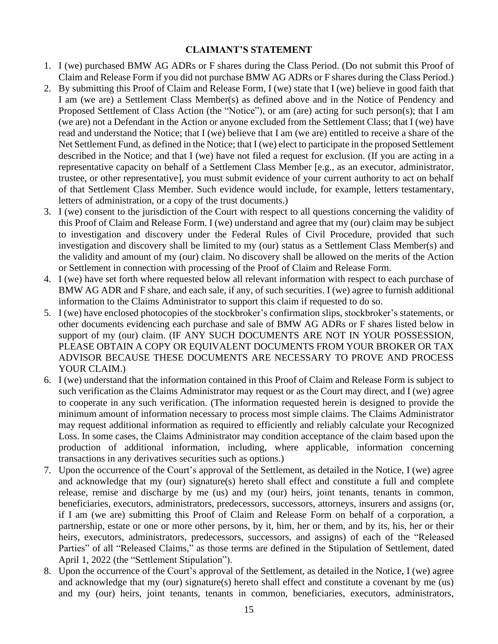### **CLAIMANT'S STATEMENT**

- 1. I (we) purchased BMW AG ADRs or F shares during the Class Period. (Do not submit this Proof of Claim and Release Form if you did not purchase BMW AG ADRs or F shares during the Class Period.)
- 2. By submitting this Proof of Claim and Release Form, I (we) state that I (we) believe in good faith that I am (we are) a Settlement Class Member(s) as defined above and in the Notice of Pendency and Proposed Settlement of Class Action (the "Notice"), or am (are) acting for such person(s); that I am (we are) not a Defendant in the Action or anyone excluded from the Settlement Class; that I (we) have read and understand the Notice; that I (we) believe that I am (we are) entitled to receive a share of the Net Settlement Fund, as defined in the Notice; that I (we) elect to participate in the proposed Settlement described in the Notice; and that I (we) have not filed a request for exclusion. (If you are acting in a representative capacity on behalf of a Settlement Class Member [e.g., as an executor, administrator, trustee, or other representative], you must submit evidence of your current authority to act on behalf of that Settlement Class Member. Such evidence would include, for example, letters testamentary, letters of administration, or a copy of the trust documents.)
- 3. I (we) consent to the jurisdiction of the Court with respect to all questions concerning the validity of this Proof of Claim and Release Form. I (we) understand and agree that my (our) claim may be subject to investigation and discovery under the Federal Rules of Civil Procedure, provided that such investigation and discovery shall be limited to my (our) status as a Settlement Class Member(s) and the validity and amount of my (our) claim. No discovery shall be allowed on the merits of the Action or Settlement in connection with processing of the Proof of Claim and Release Form.
- 4. I (we) have set forth where requested below all relevant information with respect to each purchase of BMW AG ADR and F share, and each sale, if any, of such securities. I (we) agree to furnish additional information to the Claims Administrator to support this claim if requested to do so.
- 5. I (we) have enclosed photocopies of the stockbroker's confirmation slips, stockbroker's statements, or other documents evidencing each purchase and sale of BMW AG ADRs or F shares listed below in support of my (our) claim. (IF ANY SUCH DOCUMENTS ARE NOT IN YOUR POSSESSION, PLEASE OBTAIN A COPY OR EQUIVALENT DOCUMENTS FROM YOUR BROKER OR TAX ADVISOR BECAUSE THESE DOCUMENTS ARE NECESSARY TO PROVE AND PROCESS YOUR CLAIM.)
- 6. I (we) understand that the information contained in this Proof of Claim and Release Form is subject to such verification as the Claims Administrator may request or as the Court may direct, and I (we) agree to cooperate in any such verification. (The information requested herein is designed to provide the minimum amount of information necessary to process most simple claims. The Claims Administrator may request additional information as required to efficiently and reliably calculate your Recognized Loss. In some cases, the Claims Administrator may condition acceptance of the claim based upon the production of additional information, including, where applicable, information concerning transactions in any derivatives securities such as options.)
- 7. Upon the occurrence of the Court's approval of the Settlement, as detailed in the Notice, I (we) agree and acknowledge that my (our) signature(s) hereto shall effect and constitute a full and complete release, remise and discharge by me (us) and my (our) heirs, joint tenants, tenants in common, beneficiaries, executors, administrators, predecessors, successors, attorneys, insurers and assigns (or, if I am (we are) submitting this Proof of Claim and Release Form on behalf of a corporation, a partnership, estate or one or more other persons, by it, him, her or them, and by its, his, her or their heirs, executors, administrators, predecessors, successors, and assigns) of each of the "Released Parties" of all "Released Claims," as those terms are defined in the Stipulation of Settlement, dated April 1, 2022 (the "Settlement Stipulation").
- 8. Upon the occurrence of the Court's approval of the Settlement, as detailed in the Notice, I (we) agree and acknowledge that my (our) signature(s) hereto shall effect and constitute a covenant by me (us) and my (our) heirs, joint tenants, tenants in common, beneficiaries, executors, administrators,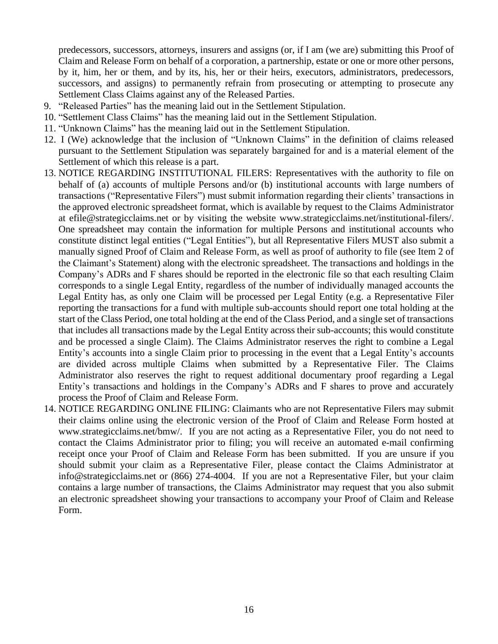predecessors, successors, attorneys, insurers and assigns (or, if I am (we are) submitting this Proof of Claim and Release Form on behalf of a corporation, a partnership, estate or one or more other persons, by it, him, her or them, and by its, his, her or their heirs, executors, administrators, predecessors, successors, and assigns) to permanently refrain from prosecuting or attempting to prosecute any Settlement Class Claims against any of the Released Parties.

- 9. "Released Parties" has the meaning laid out in the Settlement Stipulation.
- 10. "Settlement Class Claims" has the meaning laid out in the Settlement Stipulation.
- 11. "Unknown Claims" has the meaning laid out in the Settlement Stipulation.
- 12. I (We) acknowledge that the inclusion of "Unknown Claims" in the definition of claims released pursuant to the Settlement Stipulation was separately bargained for and is a material element of the Settlement of which this release is a part.
- 13. NOTICE REGARDING INSTITUTIONAL FILERS: Representatives with the authority to file on behalf of (a) accounts of multiple Persons and/or (b) institutional accounts with large numbers of transactions ("Representative Filers") must submit information regarding their clients' transactions in the approved electronic spreadsheet format, which is available by request to the Claims Administrator at efile@strategicclaims.net or by visiting the website www.strategicclaims.net/institutional-filers/. One spreadsheet may contain the information for multiple Persons and institutional accounts who constitute distinct legal entities ("Legal Entities"), but all Representative Filers MUST also submit a manually signed Proof of Claim and Release Form, as well as proof of authority to file (see Item 2 of the Claimant's Statement) along with the electronic spreadsheet. The transactions and holdings in the Company's ADRs and F shares should be reported in the electronic file so that each resulting Claim corresponds to a single Legal Entity, regardless of the number of individually managed accounts the Legal Entity has, as only one Claim will be processed per Legal Entity (e.g. a Representative Filer reporting the transactions for a fund with multiple sub-accounts should report one total holding at the start of the Class Period, one total holding at the end of the Class Period, and a single set of transactions that includes all transactions made by the Legal Entity across their sub-accounts; this would constitute and be processed a single Claim). The Claims Administrator reserves the right to combine a Legal Entity's accounts into a single Claim prior to processing in the event that a Legal Entity's accounts are divided across multiple Claims when submitted by a Representative Filer. The Claims Administrator also reserves the right to request additional documentary proof regarding a Legal Entity's transactions and holdings in the Company's ADRs and F shares to prove and accurately process the Proof of Claim and Release Form.
- 14. NOTICE REGARDING ONLINE FILING: Claimants who are not Representative Filers may submit their claims online using the electronic version of the Proof of Claim and Release Form hosted at www.strategicclaims.net/bmw/. If you are not acting as a Representative Filer, you do not need to contact the Claims Administrator prior to filing; you will receive an automated e-mail confirming receipt once your Proof of Claim and Release Form has been submitted. If you are unsure if you should submit your claim as a Representative Filer, please contact the Claims Administrator at info@strategicclaims.net or (866) 274-4004. If you are not a Representative Filer, but your claim contains a large number of transactions, the Claims Administrator may request that you also submit an electronic spreadsheet showing your transactions to accompany your Proof of Claim and Release Form.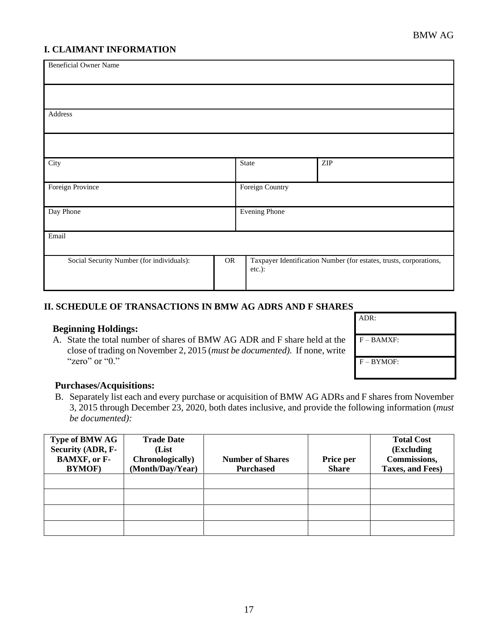# **I. CLAIMANT INFORMATION**

| <b>Beneficial Owner Name</b>              |           |                      |                                                                    |
|-------------------------------------------|-----------|----------------------|--------------------------------------------------------------------|
|                                           |           |                      |                                                                    |
| Address                                   |           |                      |                                                                    |
|                                           |           |                      |                                                                    |
| City                                      |           | State                | $\ensuremath{\mathrm{ZIP}}$                                        |
| Foreign Province                          |           | Foreign Country      |                                                                    |
| Day Phone                                 |           | <b>Evening Phone</b> |                                                                    |
| Email                                     |           |                      |                                                                    |
| Social Security Number (for individuals): | <b>OR</b> | etc.):               | Taxpayer Identification Number (for estates, trusts, corporations, |

### **II. SCHEDULE OF TRANSACTIONS IN BMW AG ADRS AND F SHARES**

#### **Beginning Holdings:**

A. State the total number of shares of BMW AG ADR and F share held at the close of trading on November 2, 2015 (*must be documented).* If none, write "zero" or "0."

| ADR:        |
|-------------|
| $F - BAMXF$ |
| $F - BYMOF$ |

#### **Purchases/Acquisitions:**

B. Separately list each and every purchase or acquisition of BMW AG ADRs and F shares from November 3, 2015 through December 23, 2020, both dates inclusive, and provide the following information (*must be documented):*

| <b>Type of BMW AG</b> | <b>Trade Date</b> |                         |              | <b>Total Cost</b> |
|-----------------------|-------------------|-------------------------|--------------|-------------------|
| Security (ADR, F-     | (List)            |                         |              | (Excluding        |
| <b>BAMXF</b> , or F-  | Chronologically)  | <b>Number of Shares</b> | Price per    | Commissions,      |
| <b>BYMOF</b> )        | (Month/Day/Year)  | <b>Purchased</b>        | <b>Share</b> | Taxes, and Fees)  |
|                       |                   |                         |              |                   |
|                       |                   |                         |              |                   |
|                       |                   |                         |              |                   |
|                       |                   |                         |              |                   |
|                       |                   |                         |              |                   |
|                       |                   |                         |              |                   |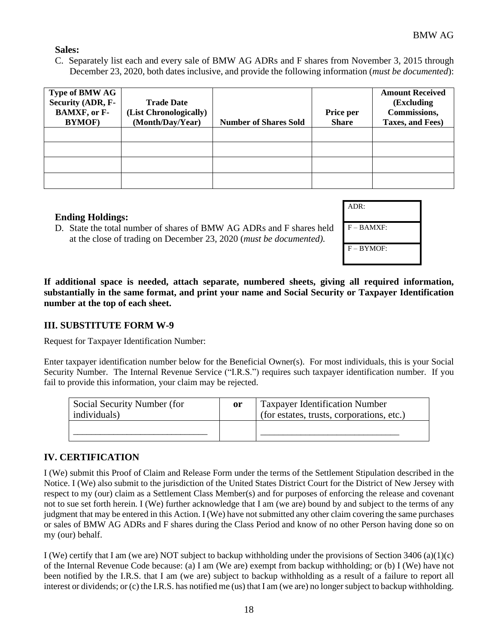ADR:

F – BAMXF:

F – BYMOF:

### **Sales:**

C. Separately list each and every sale of BMW AG ADRs and F shares from November 3, 2015 through December 23, 2020, both dates inclusive, and provide the following information (*must be documented*):

| <b>Type of BMW AG</b><br>Security (ADR, F-<br><b>BAMXF, or F-</b><br><b>BYMOF</b> ) | <b>Trade Date</b><br>(List Chronologically)<br>(Month/Day/Year) | <b>Number of Shares Sold</b> | Price per<br><b>Share</b> | <b>Amount Received</b><br>(Excluding<br>Commissions,<br>Taxes, and Fees) |
|-------------------------------------------------------------------------------------|-----------------------------------------------------------------|------------------------------|---------------------------|--------------------------------------------------------------------------|
|                                                                                     |                                                                 |                              |                           |                                                                          |
|                                                                                     |                                                                 |                              |                           |                                                                          |
|                                                                                     |                                                                 |                              |                           |                                                                          |
|                                                                                     |                                                                 |                              |                           |                                                                          |

### **Ending Holdings:**

**If additional space is needed, attach separate, numbered sheets, giving all required information, substantially in the same format, and print your name and Social Security or Taxpayer Identification number at the top of each sheet.**

#### **III. SUBSTITUTE FORM W-9**

Request for Taxpayer Identification Number:

Enter taxpayer identification number below for the Beneficial Owner(s). For most individuals, this is your Social Security Number. The Internal Revenue Service ("I.R.S.") requires such taxpayer identification number. If you fail to provide this information, your claim may be rejected.

| Social Security Number (for<br>individuals) | <sub>or</sub> | <b>Taxpayer Identification Number</b><br>(for estates, trusts, corporations, etc.) |
|---------------------------------------------|---------------|------------------------------------------------------------------------------------|
|                                             |               |                                                                                    |

### **IV. CERTIFICATION**

I (We) submit this Proof of Claim and Release Form under the terms of the Settlement Stipulation described in the Notice. I (We) also submit to the jurisdiction of the United States District Court for the District of New Jersey with respect to my (our) claim as a Settlement Class Member(s) and for purposes of enforcing the release and covenant not to sue set forth herein. I (We) further acknowledge that I am (we are) bound by and subject to the terms of any judgment that may be entered in this Action. I (We) have not submitted any other claim covering the same purchases or sales of BMW AG ADRs and F shares during the Class Period and know of no other Person having done so on my (our) behalf.

I (We) certify that I am (we are) NOT subject to backup withholding under the provisions of Section  $3406$  (a)(1)(c) of the Internal Revenue Code because: (a) I am (We are) exempt from backup withholding; or (b) I (We) have not been notified by the I.R.S. that I am (we are) subject to backup withholding as a result of a failure to report all interest or dividends; or (c) the I.R.S. has notified me (us) that I am (we are) no longersubject to backup withholding.

D. State the total number of shares of BMW AG ADRs and F shares held at the close of trading on December 23, 2020 (*must be documented).*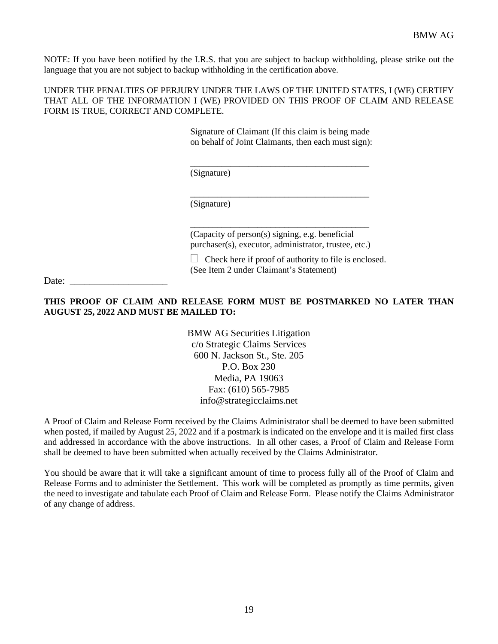NOTE: If you have been notified by the I.R.S. that you are subject to backup withholding, please strike out the language that you are not subject to backup withholding in the certification above.

UNDER THE PENALTIES OF PERJURY UNDER THE LAWS OF THE UNITED STATES, I (WE) CERTIFY THAT ALL OF THE INFORMATION I (WE) PROVIDED ON THIS PROOF OF CLAIM AND RELEASE FORM IS TRUE, CORRECT AND COMPLETE.

> Signature of Claimant (If this claim is being made on behalf of Joint Claimants, then each must sign):

\_\_\_\_\_\_\_\_\_\_\_\_\_\_\_\_\_\_\_\_\_\_\_\_\_\_\_\_\_\_\_\_\_\_\_\_\_\_\_\_

\_\_\_\_\_\_\_\_\_\_\_\_\_\_\_\_\_\_\_\_\_\_\_\_\_\_\_\_\_\_\_\_\_\_\_\_\_\_\_\_

(Signature)

(Signature)

(Capacity of person(s) signing, e.g. beneficial purchaser(s), executor, administrator, trustee, etc.)

\_\_\_\_\_\_\_\_\_\_\_\_\_\_\_\_\_\_\_\_\_\_\_\_\_\_\_\_\_\_\_\_\_\_\_\_\_\_\_\_

 $\Box$  Check here if proof of authority to file is enclosed. (See Item 2 under Claimant's Statement)

Date:

#### **THIS PROOF OF CLAIM AND RELEASE FORM MUST BE POSTMARKED NO LATER THAN AUGUST 25, 2022 AND MUST BE MAILED TO:**

BMW AG Securities Litigation c/o Strategic Claims Services 600 N. Jackson St., Ste. 205 P.O. Box 230 Media, PA 19063 Fax: (610) 565-7985 info@strategicclaims.net

A Proof of Claim and Release Form received by the Claims Administrator shall be deemed to have been submitted when posted, if mailed by August 25, 2022 and if a postmark is indicated on the envelope and it is mailed first class and addressed in accordance with the above instructions. In all other cases, a Proof of Claim and Release Form shall be deemed to have been submitted when actually received by the Claims Administrator.

You should be aware that it will take a significant amount of time to process fully all of the Proof of Claim and Release Forms and to administer the Settlement. This work will be completed as promptly as time permits, given the need to investigate and tabulate each Proof of Claim and Release Form. Please notify the Claims Administrator of any change of address.